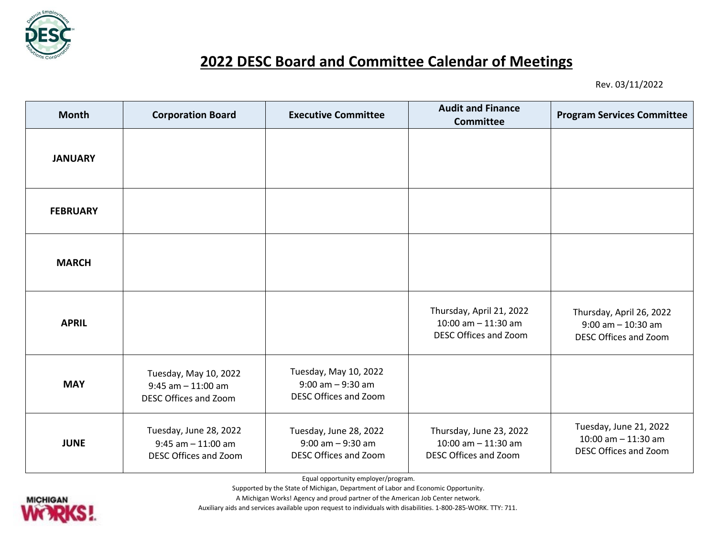

## **2022 DESC Board and Committee Calendar of Meetings**

Rev. 03/11/2022

| <b>Month</b>    | <b>Corporation Board</b>                                                        | <b>Executive Committee</b>                                                    | <b>Audit and Finance</b><br><b>Committee</b>                               | <b>Program Services Committee</b>                                                 |
|-----------------|---------------------------------------------------------------------------------|-------------------------------------------------------------------------------|----------------------------------------------------------------------------|-----------------------------------------------------------------------------------|
| <b>JANUARY</b>  |                                                                                 |                                                                               |                                                                            |                                                                                   |
| <b>FEBRUARY</b> |                                                                                 |                                                                               |                                                                            |                                                                                   |
| <b>MARCH</b>    |                                                                                 |                                                                               |                                                                            |                                                                                   |
| <b>APRIL</b>    |                                                                                 |                                                                               | Thursday, April 21, 2022<br>10:00 am $-$ 11:30 am<br>DESC Offices and Zoom | Thursday, April 26, 2022<br>$9:00$ am $-10:30$ am<br><b>DESC Offices and Zoom</b> |
| <b>MAY</b>      | Tuesday, May 10, 2022<br>$9:45$ am $-11:00$ am<br>DESC Offices and Zoom         | Tuesday, May 10, 2022<br>$9:00$ am $-9:30$ am<br><b>DESC Offices and Zoom</b> |                                                                            |                                                                                   |
| <b>JUNE</b>     | Tuesday, June 28, 2022<br>$9:45$ am $-11:00$ am<br><b>DESC Offices and Zoom</b> | Tuesday, June 28, 2022<br>$9:00$ am $-9:30$ am<br>DESC Offices and Zoom       | Thursday, June 23, 2022<br>10:00 am $-$ 11:30 am<br>DESC Offices and Zoom  | Tuesday, June 21, 2022<br>$10:00$ am $- 11:30$ am<br>DESC Offices and Zoom        |

Equal opportunity employer/program.

Supported by the State of Michigan, Department of Labor and Economic Opportunity.

Auxiliary aids and services available upon request to individuals with disabilities. 1-800-285-WORK. TTY: 711.

A Michigan Works! Agency and proud partner of the American Job Center network.